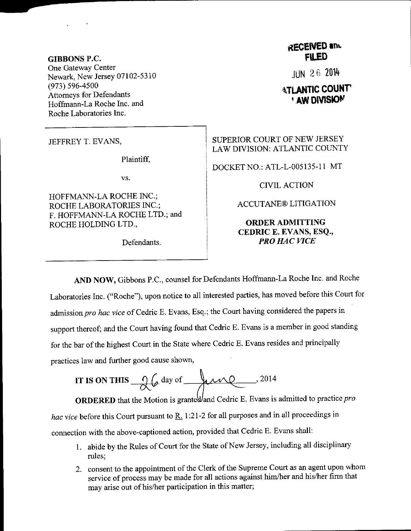## GIBBONS P.C. One Gateway Center Newark, New Jersey 07102-5310 (973) 596-4500 Attomeys for Defendants Hoffmann-La Roche Inc. and Roche Laboratories Inc.

JEFFREY T. EVANS,

Plaintiff.

vs.

HOFFMANN-LA ROCHE INC.; ROCHE LABORATORIES INC.; F. HOFFMANN-LA ROCHE LTD.; and ROCHE HOLDING LTD.,

Defendants.

## RECENED and **FILED**

IJN 2 6 <sup>2014</sup>

## **ATLANTIC COUNTY** ' AW DIVISION

SUPERIOR COURT OF NEW JERSEY LAW DIVISION: ATLANTIC COUNTY

DOCKET NO.: ATL-L-005135-11 MT

CIVIL ACTION

ACCUTANE@ LITIGATION

## ORDERADMITTING CEDRIC E. EVANS, ESQ,, PRO HAC VICE

AND NOW, Gibbons P.c., counsel for Defendants Hoffrnann-La Roche Inc. and Roche Laboratories Inc. ("Roche"), upon notice to all interested parties, has moved before this Court for admission pro hac vice of Cedric E. Evans, Esq.; the Court having considered the papers in support thereof; and the court having found that cedric E. Evans is a member in good standing for the bar of the highest Court in the State where Cedric E. Evans resides and principally practices law and further good cause shown,

IT IS ON THIS 
$$
-\frac{1}{\sqrt{6}}\omega
$$
 day of  $4.2014$ 

**ORDERED** that the Motion is granted and Cedric E. Evans is admitted to practice pro hac vice before this Court pursuant to  $\underline{R}$ . 1:21-2 for all purposes and in all proceedings in connection with the above-captioned action, provided that Cedric E. Evans shall:

- 1. abide by the Rules of Court for the State of New Jersey, including all disciplinary rules;
- 2. consent to the appointment of the Clerk of the Supreme Court as an agent upon whom service of process may be made for all actions against him/her and his/her firm that may arise out of his/her participation in this matter;